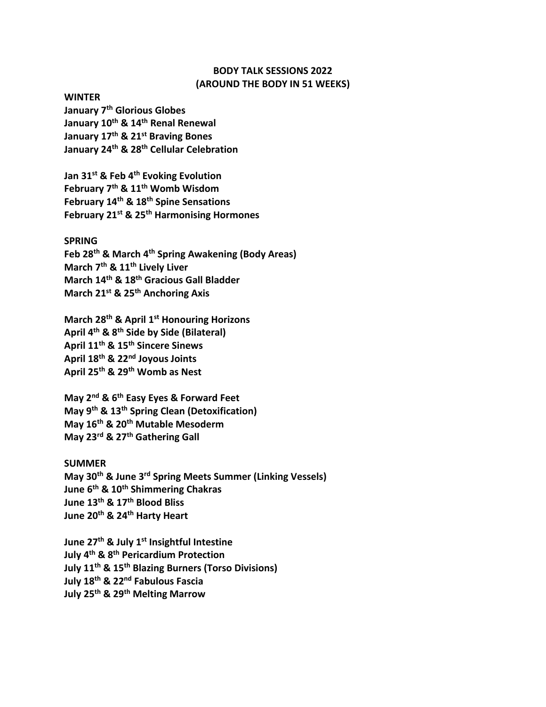## **BODY TALK SESSIONS 2022 (AROUND THE BODY IN 51 WEEKS)**

**WINTER**

**January 7th Glorious Globes January 10th & 14th Renal Renewal January 17th & 21st Braving Bones January 24th & 28th Cellular Celebration**

**Jan 31st & Feb 4th Evoking Evolution February 7th & 11th Womb Wisdom February 14th & 18th Spine Sensations February 21st & 25th Harmonising Hormones**

## **SPRING**

**Feb 28th & March 4th Spring Awakening (Body Areas) March 7th & 11th Lively Liver March 14th & 18th Gracious Gall Bladder March 21st & 25th Anchoring Axis**

**March 28th & April 1st Honouring Horizons April 4 th & 8th Side by Side (Bilateral) April 11th & 15th Sincere Sinews April 18th & 22nd Joyous Joints April 25th & 29th Womb as Nest**

**May 2nd & 6th Easy Eyes & Forward Feet May 9th & 13th Spring Clean (Detoxification) May 16th & 20th Mutable Mesoderm May 23rd & 27th Gathering Gall**

## **SUMMER**

**May 30th & June 3rd Spring Meets Summer (Linking Vessels) June 6th & 10th Shimmering Chakras June 13th & 17th Blood Bliss June 20th & 24th Harty Heart**

**June 27th & July 1st Insightful Intestine July 4 th & 8th Pericardium Protection July 11th & 15th Blazing Burners (Torso Divisions) July 18th & 22nd Fabulous Fascia July 25th & 29th Melting Marrow**